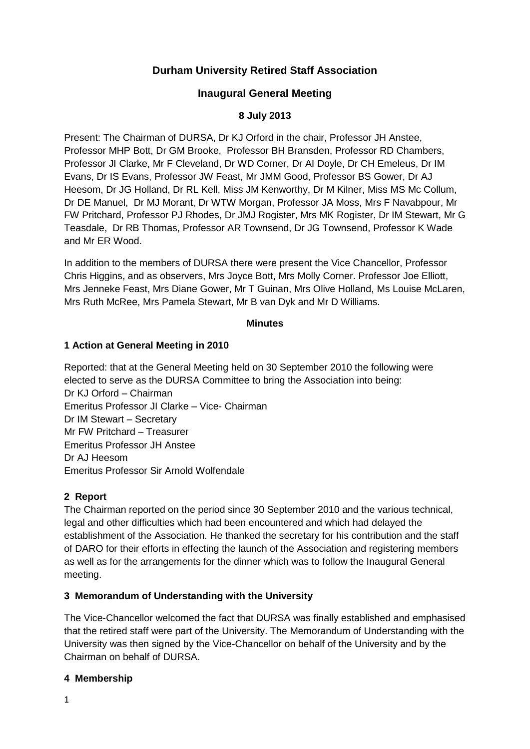# **Durham University Retired Staff Association**

## **Inaugural General Meeting**

### **8 July 2013**

Present: The Chairman of DURSA, Dr KJ Orford in the chair, Professor JH Anstee, Professor MHP Bott, Dr GM Brooke, Professor BH Bransden, Professor RD Chambers, Professor JI Clarke, Mr F Cleveland, Dr WD Corner, Dr AI Doyle, Dr CH Emeleus, Dr IM Evans, Dr IS Evans, Professor JW Feast, Mr JMM Good, Professor BS Gower, Dr AJ Heesom, Dr JG Holland, Dr RL Kell, Miss JM Kenworthy, Dr M Kilner, Miss MS Mc Collum, Dr DE Manuel, Dr MJ Morant, Dr WTW Morgan, Professor JA Moss, Mrs F Navabpour, Mr FW Pritchard, Professor PJ Rhodes, Dr JMJ Rogister, Mrs MK Rogister, Dr IM Stewart, Mr G Teasdale, Dr RB Thomas, Professor AR Townsend, Dr JG Townsend, Professor K Wade and Mr ER Wood.

In addition to the members of DURSA there were present the Vice Chancellor, Professor Chris Higgins, and as observers, Mrs Joyce Bott, Mrs Molly Corner. Professor Joe Elliott, Mrs Jenneke Feast, Mrs Diane Gower, Mr T Guinan, Mrs Olive Holland, Ms Louise McLaren, Mrs Ruth McRee, Mrs Pamela Stewart, Mr B van Dyk and Mr D Williams.

#### **Minutes**

#### **1 Action at General Meeting in 2010**

Reported: that at the General Meeting held on 30 September 2010 the following were elected to serve as the DURSA Committee to bring the Association into being: Dr KJ Orford – Chairman Emeritus Professor JI Clarke – Vice- Chairman Dr IM Stewart – Secretary Mr FW Pritchard – Treasurer Emeritus Professor JH Anstee Dr AJ Heesom Emeritus Professor Sir Arnold Wolfendale

### **2 Report**

The Chairman reported on the period since 30 September 2010 and the various technical, legal and other difficulties which had been encountered and which had delayed the establishment of the Association. He thanked the secretary for his contribution and the staff of DARO for their efforts in effecting the launch of the Association and registering members as well as for the arrangements for the dinner which was to follow the Inaugural General meeting.

### **3 Memorandum of Understanding with the University**

The Vice-Chancellor welcomed the fact that DURSA was finally established and emphasised that the retired staff were part of the University. The Memorandum of Understanding with the University was then signed by the Vice-Chancellor on behalf of the University and by the Chairman on behalf of DURSA.

#### **4 Membership**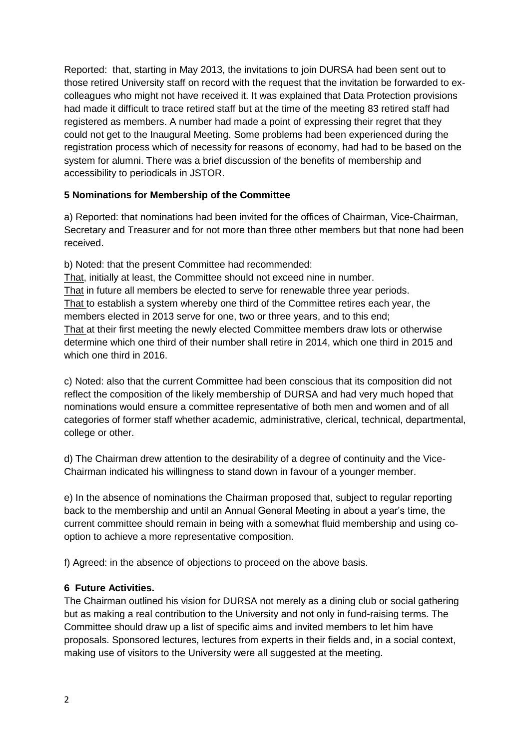Reported: that, starting in May 2013, the invitations to join DURSA had been sent out to those retired University staff on record with the request that the invitation be forwarded to excolleagues who might not have received it. It was explained that Data Protection provisions had made it difficult to trace retired staff but at the time of the meeting 83 retired staff had registered as members. A number had made a point of expressing their regret that they could not get to the Inaugural Meeting. Some problems had been experienced during the registration process which of necessity for reasons of economy, had had to be based on the system for alumni. There was a brief discussion of the benefits of membership and accessibility to periodicals in JSTOR.

### **5 Nominations for Membership of the Committee**

a) Reported: that nominations had been invited for the offices of Chairman, Vice-Chairman, Secretary and Treasurer and for not more than three other members but that none had been received.

b) Noted: that the present Committee had recommended:

That, initially at least, the Committee should not exceed nine in number.

That in future all members be elected to serve for renewable three year periods. That to establish a system whereby one third of the Committee retires each year, the members elected in 2013 serve for one, two or three years, and to this end; That at their first meeting the newly elected Committee members draw lots or otherwise determine which one third of their number shall retire in 2014, which one third in 2015 and which one third in 2016.

c) Noted: also that the current Committee had been conscious that its composition did not reflect the composition of the likely membership of DURSA and had very much hoped that nominations would ensure a committee representative of both men and women and of all categories of former staff whether academic, administrative, clerical, technical, departmental, college or other.

d) The Chairman drew attention to the desirability of a degree of continuity and the Vice-Chairman indicated his willingness to stand down in favour of a younger member.

e) In the absence of nominations the Chairman proposed that, subject to regular reporting back to the membership and until an Annual General Meeting in about a year's time, the current committee should remain in being with a somewhat fluid membership and using cooption to achieve a more representative composition.

f) Agreed: in the absence of objections to proceed on the above basis.

### **6 Future Activities.**

The Chairman outlined his vision for DURSA not merely as a dining club or social gathering but as making a real contribution to the University and not only in fund-raising terms. The Committee should draw up a list of specific aims and invited members to let him have proposals. Sponsored lectures, lectures from experts in their fields and, in a social context, making use of visitors to the University were all suggested at the meeting.